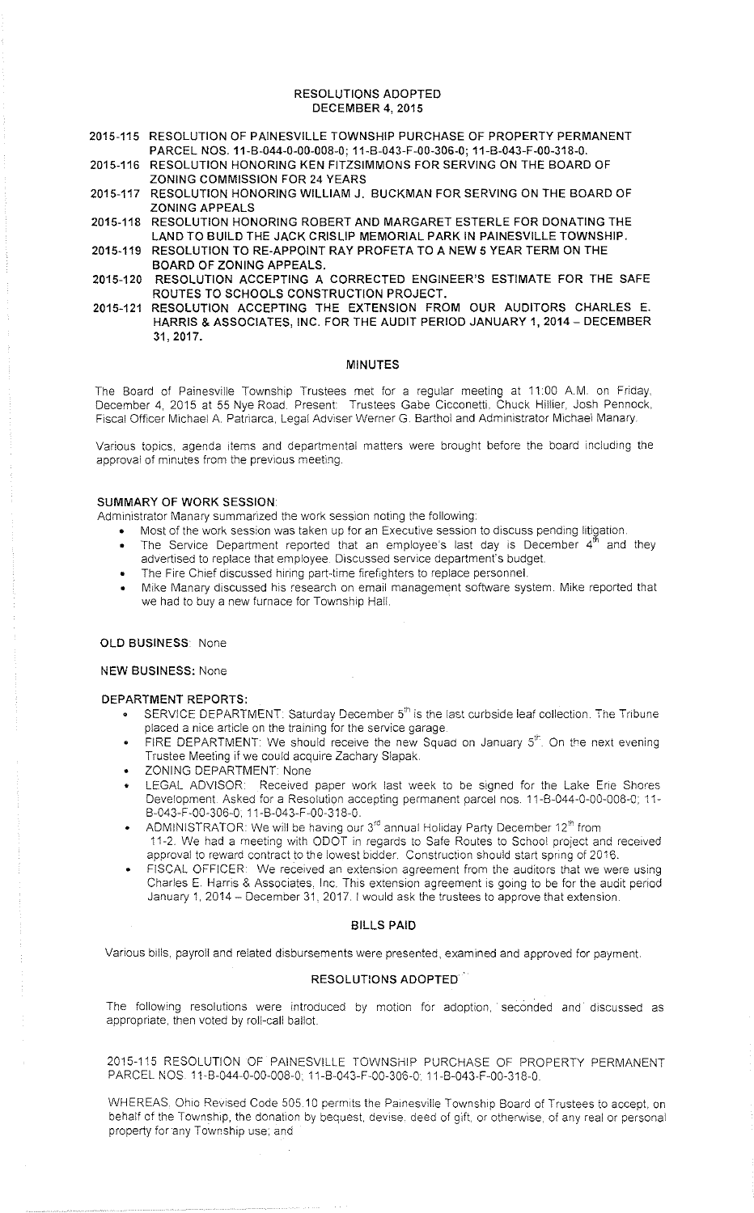#### RESOLUTIONS ADOPTED DECEMBER 4, 2015

- 2015-115 RESOLUTION OF PAINESVILLE TOWNSHIP PURCHASE OF PROPERTY PERMANENT PARCEL NOS. 11-B-044-0-00-008-0; 11-B-043-F-00-306-0; 11-B-043-F-00-318-0.
- 2015-116 RESOLUTION HONORING KEN FITZSIMMONS FOR SERVING ON THE BOARD OF ZONING COMMISSION FOR 24 YEARS
- 2015-117 RESOLUTION HONORING WILLIAM J. BUCKMAN FOR SERVING ON THE BOARD OF ZONING APPEALS
- 2015-118 RESOLUTION HONORING ROBERT AND MARGARET ESTERLE FOR DONATING THE LAND TO BUILD THE JACK CRISLIP MEMORIAL PARK IN PAINESVILLE TOWNSHIP.
- 2015-119 RESOLUTION TO RE-APPOINT RAY PROFETA TO A NEW 5 YEAR TERM ON THE BOARD OF ZONING APPEALS.
- 2015-120 RESOLUTION ACCEPTING A CORRECTED ENGINEER'S ESTIMATE FOR THE SAFE ROUTES TO SCHOOLS CONSTRUCTION PROJECT.
- 2015-121 RESOLUTION ACCEPTING THE EXTENSION FROM OUR AUDITORS CHARLES E. HARRIS & ASSOCIATES, INC. FOR THE AUDIT PERIOD JANUARY 1, 2014- DECEMBER 31, 2017.

#### MINUTES

The Board of Painesville Township Trustees met for a regular meeting at 11:00 A.M. on Friday. December 4, 2015 at 55 Nye Road. Present: Trustees Gabe Cicconetti, Chuck Hillier. Josh Pennock. Fiscal Officer Michael A. Patriarca, Legal Adviser Werner G. Barthol and Administrator Michael Manary

Various topics, agenda items and departmental matters were brought before the board including the approval of minutes from the previous meeting.

# SUMMARY OF WORK SESSION

Administrator Manary summarized the work session noting the following:

- Most of the work session was taken up for an Executive session to discuss pending litigation.
- The Service Department reported that an employee's last day is December  $4<sup>th</sup>$  and they advertised to replace that employee Discussed service department's budget.
- The Fire Chief discussed hiring part-time firefighters to replace personnel.
- Mike Manary discussed his research on email management software system. Mike reported that we had to buy a new furnace for Township Hall.

#### OLD BUSINESS: None

#### NEW BUSINESS: None

# DEPARTMENT REPORTS:

- SERVICE DEPARTMENT: Saturday December 5<sup>th</sup> is the last curbside leaf collection. The Tribune placed a nice article on the training for the service garage
- FIRE DEPARTMENT: We should receive the new Squad on January 5<sup>th</sup>. On the next evening Trustee Meeting if we could acquire Zachary Slapak.
- **ZONING DEPARTMENT: None**
- LEGAL ADVISOR: Received paper work last week to be signed for the Lake Erie Shores Development. Asked for a Resolution accepting permanent parcel nos. 11-B-044-0-00-008-0: 11- B-043-F-00-306-0, 11-B-043-F-00-318-0.
- ADMINISTRATOR: We will be having our 3'' annual Holiday Party December 12" from 11-2. We had a meeting with ODOT in regards to Safe Routes to Schoo! project and received approval to reward contract to the lowest bidder. Construction should start spring of 2016.
- FISCAL OFFICER: We received an extension agreement from the auditors that we were using Charles E. Harris & Associates, Inc. This extension agreement is going to be for the audit period January 1, 2014 - December 31, 2017. I would ask the trustees to approve that extension.

## BILLS PAID

Various bills. payroll and related disbursements were presented, examined and approved for payment.

## RESOLUTIONS ADOPTED

The following resolutions were introduced by motion for adoption, seconded and discussed as appropriate, then voted by roll-call ballot.

2015-115 RESOLUTION OF PAINESVILLE TOWNSHIP PURCHASE OF PROPERTY PERMANENT PARCEL NOS. 11-B-044-0-00-008-0; 11-B-043-F-00-306-0; 11-B-043-F-00-318-0.

WHEREAS, Ohio Revised Code 505.10 permits the Painesville Township Board of Trustees to accept, on behalf of the Township, the donation by bequest, devise, deed of gift, or otherwise, of any real or personal property for any Township use: and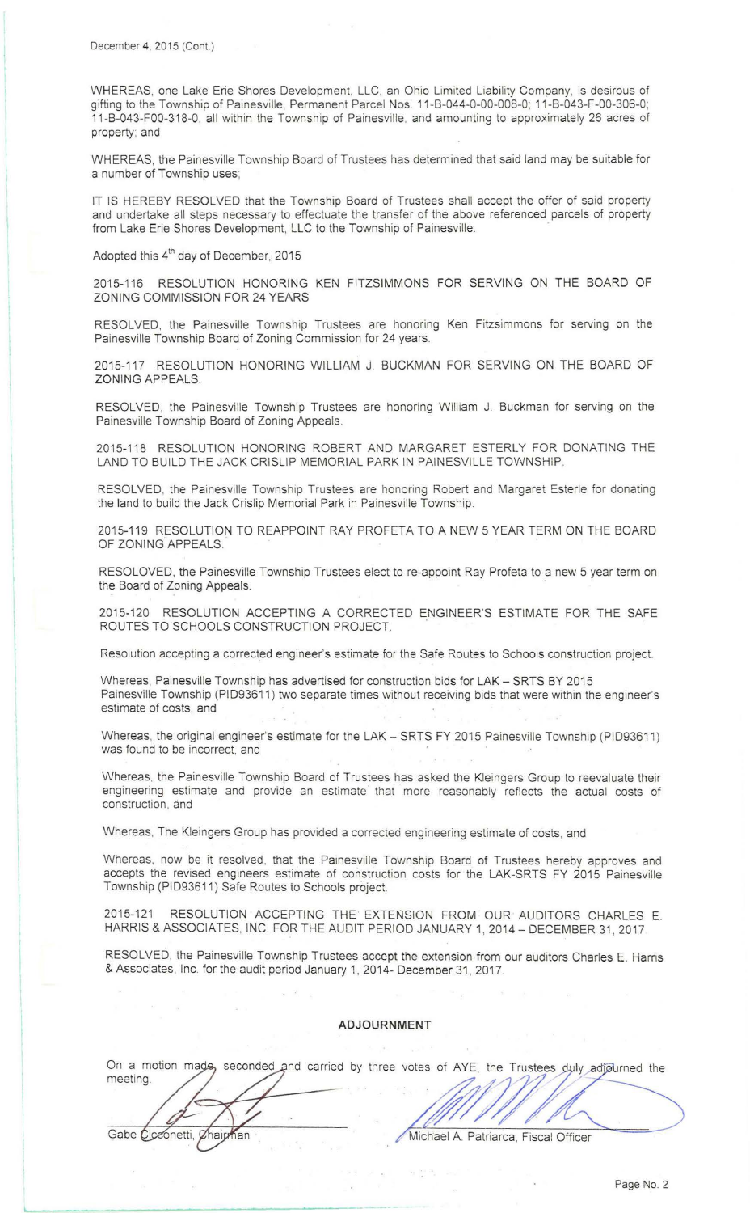WHEREAS, one Lake Erie Shores Development. LLC, an Ohio Limited Liability Company, is desirous of gifting to the Township of Painesville, Permanent Parcel Nos 11-B-044-0-00-008-0; 11 -B-043-F-00-306-0; 11-B-043-F00-318-0. all within the Township of Painesville. and amounting to approximately 26 acres of property; and

WHEREAS, the Painesville Township Board of Trustees has determined that said land may be suitable for a number of Township uses;

IT IS HEREBY RESOLVED that the Township Board of Trustees shall accept the offer of said property and undertake all steps necessary to effectuate the transfer of the above referenced parcels of property from Lake Erie Shores Development, LLC to the Township of Painesville.

Adopted this 4<sup>th</sup> day of December, 2015

Gabe Ciceonetti, Chairman

2015-116 RESOLUTION HONORING KEN FITZSIMMONS FOR SERVING ON THE BOARD OF ZONING COMMISSION FOR 24 YEARS

RESOLVED, the Painesville Township Trustees are honoring Ken Fitzsimmons for serving on the Painesville Township Board of Zoning Commission for 24 years.

2015-117 RESOLUTION HONORING WILLIAM J. BUCKMAN FOR SERVING ON THE BOARD OF ZONING APPEALS.

RESOLVED, the Painesville Township Trustees are honoring William J. Buckman for serving on the Painesville Township Board of Zoning Appeals.

2015-118 RESOLUTION HONORING ROBERT AND MARGARET ESTERLY FOR DONATING THE LAND TO BUILD THE JACK CRISLIP MEMORIAL PARK IN PAINESVILLE TOWNSHIP.

RESOLVED, the Painesville Township Trustees are honoring Robert and Margaret Esterle for donating the land to build the Jack Crislip Memorial Park in Painesville Township.

2015-119 RESOLUTION TO REAPPOINT RAY PROFETA TO A NEW 5 YEAR TERM ON THE BOARD OF ZONING APPEALS.

RESOLOVED, the Painesville Township Trustees elect to re-appoint Ray Profeta to a new 5 year term on the Board of Zoning Appeals.

2015-120 RESOLUTION ACCEPTING A CORRECTED ENGINEER'S ESTIMATE FOR THE SAFE ROUTES TO SCHOOLS CONSTRUCTION PROJECT. .

Resolution accepting a corrected engineer's estimate for the Safe Routes to Schools construction project.

Whereas, Painesville Township has advertised for construction bids for LAK - SRTS BY 2015 Painesville Township (PID93611 ) two separate times without receiving bids that were within the engineer's estimate of costs, and

Whereas, the original engineer's estimate for the LAK - SRTS FY 2015 Painesville Township (PID93611) was found to be incorrect, and

Whereas, the Painesville Township Board of Trustees has asked the Kleingers Group to reevaluate their engineering estimate and provide an estimate that more reasonably reflects the actual costs of construction, and

Whereas, The Kleingers Group has provided a corrected engineering estimate of costs, and

Whereas. now be it resolved, that the Painesville Township Board of Trustees hereby approves and accepts the revised engineers estimate of construction costs for the LAK-SRTS FY 2015 Painesville Township (PID93611) Safe Routes to Schools project.

2015-121 RESOLUTION ACCEPTING THE · EXTENSION FROM OUR AUDITORS CHARLES E. HARRIS & ASSOCIATES, INC. FOR THE AUDIT PERIOD JANUARY 1, 2014 - DECEMBER 31, 2017

RESOLVED, the Painesville Township Trustees accept the extension from our auditors Charles E. Harris & Associates, Inc. for the audit period January 1, 2014- December 31 , 2017.

#### **ADJOURNMENT**

|                                                                                                           | ADJOURNMENT |  |  |
|-----------------------------------------------------------------------------------------------------------|-------------|--|--|
|                                                                                                           |             |  |  |
| On a motion made, seconded and carried by three votes of AYE, the Trustees duly adjourned the<br>meeting. |             |  |  |
|                                                                                                           |             |  |  |

Michael A. Patriarca, Fiscal Officer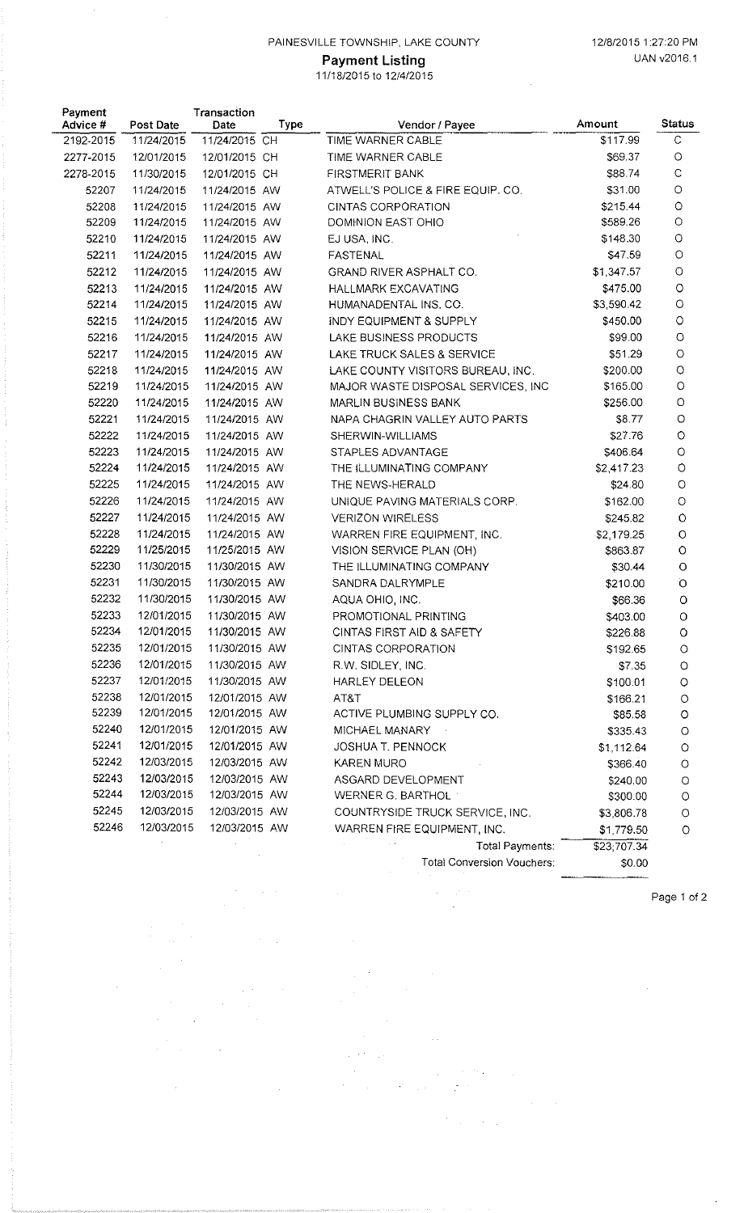## PAINESVILLE TOWNSHIP, LAKE COUNTY 12/8/2015 1:27:20 PM

## **Payment Listing Case Contract Contract Contract Contract Contract Contract Contract Contract Contract Contract Contract Contract Contract Contract Contract Contract Contract Contract Contract Contract Contract Contract Co** 11 /18/2015 to 12/4/2015

| Payment<br>Advice # | <b>Post Date</b> | Transaction<br>Date | Type | Vendor / Payee                     | Amount      | <b>Status</b> |
|---------------------|------------------|---------------------|------|------------------------------------|-------------|---------------|
| 2192-2015           | 11/24/2015       | 11/24/2015 CH       |      | TIME WARNER CABLE                  | \$117.99    | $\mathbb C$   |
| 2277-2015           | 12/01/2015       | 12/01/2015 CH       |      | TIME WARNER CABLE                  | \$69.37     | $\bigcirc$    |
| 2278-2015           | 11/30/2015       | 12/01/2015 CH       |      | <b>FIRSTMERIT BANK</b>             | \$88.74     | C             |
| 52207               | 11/24/2015       | 11/24/2015 AW       |      | ATWELL'S POLICE & FIRE EQUIP. CO.  | \$31.00     | O             |
| 52208               | 11/24/2015       | 11/24/2015 AW       |      | CINTAS CORPORATION                 | \$215.44    | O             |
| 52209               | 11/24/2015       | 11/24/2015 AW       |      | DOMINION EAST OHIO                 | \$589.26    | $\circ$       |
| 52210               | 11/24/2015       | 11/24/2015 AW       |      | EJ USA, INC.                       | \$148.30    | $\circ$       |
| 52211               | 11/24/2015       | 11/24/2015 AW       |      | <b>FASTENAL</b>                    | \$47.59     | $\circ$       |
| 52212               | 11/24/2015       | 11/24/2015 AW       |      | GRAND RIVER ASPHALT CO.            | \$1,347.57  | $\circ$       |
| 52213               | 11/24/2015       | 11/24/2015 AW       |      | <b>HALLMARK EXCAVATING</b>         | \$475.00    | $\circ$       |
| 52214               | 11/24/2015       | 11/24/2015 AW       |      | HUMANADENTAL INS. CO.              | \$3,590.42  | $\circ$       |
| 52215               | 11/24/2015       | 11/24/2015 AW       |      | INDY EQUIPMENT & SUPPLY            | \$450.00    | $\circ$       |
| 52216               | 11/24/2015       | 11/24/2015 AW       |      | LAKE BUSINESS PRODUCTS             | \$99.00     | $\circ$       |
| 52217               | 11/24/2015       | 11/24/2015 AW       |      | LAKE TRUCK SALES & SERVICE         | \$51.29     | $\circ$       |
| 52218               | 11/24/2015       | 11/24/2015 AW       |      | LAKE COUNTY VISITORS BUREAU, INC.  | \$200.00    | $\circ$       |
| 52219               | 11/24/2015       | 11/24/2015 AW       |      | MAJOR WASTE DISPOSAL SERVICES, INC | \$165.00    | $\circ$       |
| 52220               | 11/24/2015       | 11/24/2015 AW       |      | MARLIN BUSINESS BANK               | \$256.00    | $\circ$       |
| 52221               | 11/24/2015       | 11/24/2015 AW       |      | NAPA CHAGRIN VALLEY AUTO PARTS     | \$8.77      | $\circ$       |
| 52222               | 11/24/2015       | 11/24/2015 AW       |      | SHERWIN-WILLIAMS                   | \$27.76     | O             |
| 52223               | 11/24/2015       | 11/24/2015 AW       |      | STAPLES ADVANTAGE                  | \$406.64    | $\circ$       |
| 52224               | 11/24/2015       | 11/24/2015 AW       |      | THE ILLUMINATING COMPANY           | \$2,417.23  | $\circ$       |
| 52225               | 11/24/2015       | 11/24/2015 AW       |      | THE NEWS-HERALD                    | \$24.80     | $\circ$       |
| 52226               | 11/24/2015       | 11/24/2015 AW       |      | UNIQUE PAVING MATERIALS CORP.      | \$162.00    | $\circ$       |
| 52227               | 11/24/2015       | 11/24/2015 AW       |      | <b>VERIZON WIRELESS</b>            | \$245.82    | $\circ$       |
| 52228               | 11/24/2015       | 11/24/2015 AW       |      | WARREN FIRE EQUIPMENT, INC.        | \$2,179.25  | O             |
| 52229               | 11/25/2015       | 11/25/2015 AW       |      | VISION SERVICE PLAN (OH)           | \$863.87    | O             |
| 52230               | 11/30/2015       | 11/30/2015 AW       |      | THE ILLUMINATING COMPANY           | \$30.44     | $\circ$       |
| 52231               | 11/30/2015       | 11/30/2015 AW       |      | SANDRA DALRYMPLE                   | \$210.00    | Ö             |
| 52232               | 11/30/2015       | 11/30/2015 AW       |      | AQUA OHIO, INC.                    | \$66.36     | O             |
| 52233               | 12/01/2015       | 11/30/2015 AW       |      | PROMOTIONAL PRINTING               | \$403.00    | $\circ$       |
| 52234               | 12/01/2015       | 11/30/2015 AW       |      | CINTAS FIRST AID & SAFETY          | \$226.88    | O             |
| 52235               | 12/01/2015       | 11/30/2015 AW       |      | CINTAS CORPORATION                 | \$192.65    | $\circ$       |
| 52236               | 12/01/2015       | 11/30/2015 AW       |      | R.W. SIDLEY, INC.                  | \$7.35      | O             |
| 52237               | 12/01/2015       | 11/30/2015 AW       |      | HARLEY DELEON                      | \$100.01    | $\circ$       |
| 52238               | 12/01/2015       | 12/01/2015 AW       |      | AT&T                               | \$166.21    | $\circ$       |
| 52239               | 12/01/2015       | 12/01/2015 AW       |      | ACTIVE PLUMBING SUPPLY CO.         | \$85.58     | $\circ$       |
| 52240               | 12/01/2015       | 12/01/2015 AW       |      | MICHAEL MANARY                     | \$335.43    | $\circ$       |
| 52241               | 12/01/2015       | 12/01/2015 AW       |      | <b>JOSHUA T. PENNOCK</b>           | \$1,112.64  | $\circ$       |
| 52242               | 12/03/2015       | 12/03/2015 AW       |      | KAREN MURO                         | \$366.40    | $\circ$       |
| 52243               | 12/03/2015       | 12/03/2015 AW       |      | ASGARD DEVELOPMENT                 | \$240.00    | $\circ$       |
| 52244               | 12/03/2015       | 12/03/2015 AW       |      | WERNER G. BARTHOL                  | \$300.00    | $\circ$       |
| 52245               | 12/03/2015       | 12/03/2015 AW       |      | COUNTRYSIDE TRUCK SERVICE, INC.    | \$3,806.78  | $\circ$       |
| 52246               | 12/03/2015       | 12/03/2015 AW       |      | WARREN FIRE EQUIPMENT, INC.        | \$1,779.50  | $\circ$       |
|                     |                  |                     |      | Total Payments:                    | \$23;707.34 |               |
|                     |                  |                     |      | <b>Total Conversion Vouchers:</b>  | \$0.00      |               |

 $\label{eq:2} \frac{1}{\sqrt{2}}\frac{1}{\sqrt{2}}\left(\frac{1}{\sqrt{2}}\right)^2\frac{1}{\sqrt{2}}\left(\frac{1}{\sqrt{2}}\right)^2.$ 

 $\sim$ 

 $\sim 1$ 

 $\hat{\mathcal{A}}$ 

 $\sim 10^{11}$ 

 $\sqrt{2}$  ,  $\sqrt{2}$ 

 $\label{eq:2} \frac{1}{\sqrt{2}}\sum_{i=1}^n\frac{1}{\sqrt{2}}\left(\frac{1}{\sqrt{2}}\right)^2\left(\frac{1}{\sqrt{2}}\right)^2\left(\frac{1}{\sqrt{2}}\right)^2.$ 

 $\mathcal{F}^{\text{c}}_{\text{c}}$  , where  $\mathcal{F}^{\text{c}}_{\text{c}}$ 

 $\sim$ 

 $\mathcal{A}^{\mathcal{A}}$ 

 $\sim$ 

 $\label{eq:2.1} \frac{d\mathbf{r}}{dt} = \frac{1}{2} \left[ \frac{d\mathbf{r}}{dt} + \frac{d\mathbf{r}}{dt} \right] \mathbf{r}^T \mathbf{r}^T \mathbf{r}^T \mathbf{r}^T \mathbf{r}^T \mathbf{r}^T \mathbf{r}^T \mathbf{r}^T \mathbf{r}^T \mathbf{r}^T \mathbf{r}^T \mathbf{r}^T \mathbf{r}^T \mathbf{r}^T \mathbf{r}^T \mathbf{r}^T \mathbf{r}^T \mathbf{r}^T \mathbf{r}^T \mathbf{r$ 

 $\sim 10^{-10}$ 

 $\mathcal{A}^{\text{max}}_{\text{max}}$ 

 $\bar{\beta}$ 

 $\hat{\mathcal{A}}$ 

 $\hat{\boldsymbol{\beta}}$ 

 $\label{eq:2.1} \frac{1}{2} \int_{0}^{2\pi} \frac{d\mu}{\mu} \left( \frac{d\mu}{\mu} \right)^2 \frac{d\mu}{\mu} \, d\mu$ 

 $\frac{1}{2} \frac{1}{2} \frac{d^2}{dx^2}$ 

 $\hat{\varphi}$  , we have

 $\frac{1}{\sqrt{2}}\sum_{i=1}^{n} \frac{1}{\sqrt{2}}\left(\frac{1}{\sqrt{2}}\right)^2.$ 

Page 1 of 2

J.

-~